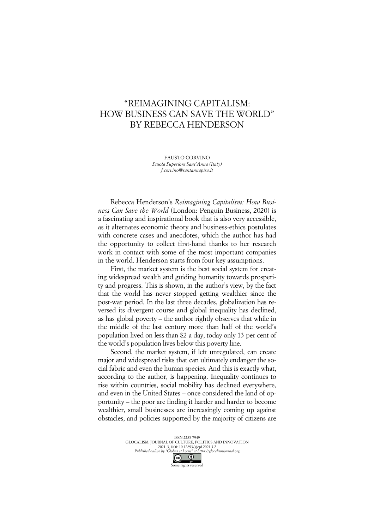## "REIMAGINING CAPITALISM: HOW BUSINESS CAN SAVE THE WORLD" BY REBECCA HENDERSON

FAUSTO CORVINO *Scuola Superiore Sant'Anna (Italy) f.corvino@santannapisa.it*

Rebecca Henderson's *Reimagining Capitalism: How Business Can Save the World* (London: Penguin Business, 2020) is a fascinating and inspirational book that is also very accessible, as it alternates economic theory and business-ethics postulates with concrete cases and anecdotes, which the author has had the opportunity to collect first-hand thanks to her research work in contact with some of the most important companies in the world. Henderson starts from four key assumptions.

First, the market system is the best social system for creating widespread wealth and guiding humanity towards prosperity and progress. This is shown, in the author's view, by the fact that the world has never stopped getting wealthier since the post-war period. In the last three decades, globalization has reversed its divergent course and global inequality has declined, as has global poverty – the author rightly observes that while in the middle of the last century more than half of the world's population lived on less than \$2 a day, today only 13 per cent of the world's population lives below this poverty line.

Second, the market system, if left unregulated, can create major and widespread risks that can ultimately endanger the social fabric and even the human species. And this is exactly what, according to the author, is happening. Inequality continues to rise within countries, social mobility has declined everywhere, and even in the United States – once considered the land of opportunity – the poor are finding it harder and harder to become wealthier, small businesses are increasingly coming up against obstacles, and policies supported by the majority of citizens are

> ISSN 2283-7949 GLOCALISM: JOURNAL OF CULTURE, POLITICS AND INNOVATION 2021, 3, DOI: 10.12893/gjcpi.2021.3.2 *Published online by "Globus et Locus" at https://glocalismjournal.org*  $\overline{0}$ Some rights reserved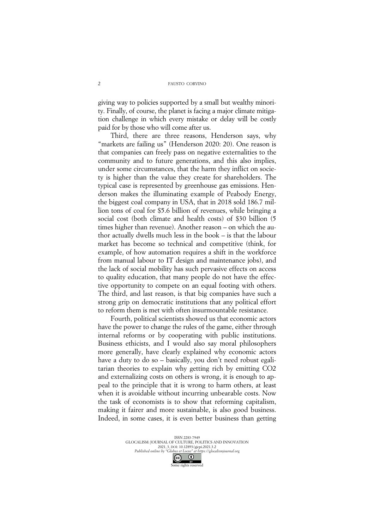giving way to policies supported by a small but wealthy minority. Finally, of course, the planet is facing a major climate mitigation challenge in which every mistake or delay will be costly paid for by those who will come after us.

Third, there are three reasons, Henderson says, why "markets are failing us" (Henderson 2020: 20). One reason is that companies can freely pass on negative externalities to the community and to future generations, and this also implies, under some circumstances, that the harm they inflict on society is higher than the value they create for shareholders. The typical case is represented by greenhouse gas emissions. Henderson makes the illuminating example of Peabody Energy, the biggest coal company in USA, that in 2018 sold 186.7 million tons of coal for \$5.6 billion of revenues, while bringing a social cost (both climate and health costs) of \$30 billion (5 times higher than revenue). Another reason – on which the author actually dwells much less in the book – is that the labour market has become so technical and competitive (think, for example, of how automation requires a shift in the workforce from manual labour to IT design and maintenance jobs), and the lack of social mobility has such pervasive effects on access to quality education, that many people do not have the effective opportunity to compete on an equal footing with others. The third, and last reason, is that big companies have such a strong grip on democratic institutions that any political effort to reform them is met with often insurmountable resistance.

Fourth, political scientists showed us that economic actors have the power to change the rules of the game, either through internal reforms or by cooperating with public institutions. Business ethicists, and I would also say moral philosophers more generally, have clearly explained why economic actors have a duty to do so – basically, you don't need robust egalitarian theories to explain why getting rich by emitting CO2 and externalizing costs on others is wrong, it is enough to appeal to the principle that it is wrong to harm others, at least when it is avoidable without incurring unbearable costs. Now the task of economists is to show that reforming capitalism, making it fairer and more sustainable, is also good business. Indeed, in some cases, it is even better business than getting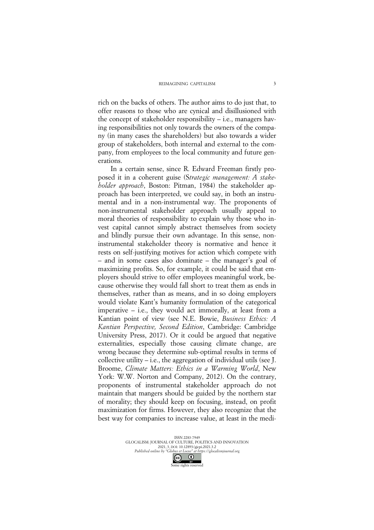rich on the backs of others. The author aims to do just that, to offer reasons to those who are cynical and disillusioned with the concept of stakeholder responsibility – i.e., managers having responsibilities not only towards the owners of the company (in many cases the shareholders) but also towards a wider group of stakeholders, both internal and external to the company, from employees to the local community and future generations.

In a certain sense, since R. Edward Freeman firstly proposed it in a coherent guise (S*trategic management: A stakeholder approach*, Boston: Pitman, 1984) the stakeholder approach has been interpreted, we could say, in both an instrumental and in a non-instrumental way. The proponents of non-instrumental stakeholder approach usually appeal to moral theories of responsibility to explain why those who invest capital cannot simply abstract themselves from society and blindly pursue their own advantage. In this sense, noninstrumental stakeholder theory is normative and hence it rests on self-justifying motives for action which compete with – and in some cases also dominate – the manager's goal of maximizing profits. So, for example, it could be said that employers should strive to offer employees meaningful work, because otherwise they would fall short to treat them as ends in themselves, rather than as means, and in so doing employers would violate Kant's humanity formulation of the categorical imperative – i.e., they would act immorally, at least from a Kantian point of view (see N.E. Bowie, *Business Ethics: A Kantian Perspective, Second Edition*, Cambridge: Cambridge University Press, 2017). Or it could be argued that negative externalities, especially those causing climate change, are wrong because they determine sub-optimal results in terms of collective utility – i.e., the aggregation of individual utils (see J. Broome, *Climate Matters: Ethics in a Warming World*, New York: W.W. Norton and Company, 2012). On the contrary, proponents of instrumental stakeholder approach do not maintain that mangers should be guided by the northern star of morality; they should keep on focusing, instead, on profit maximization for firms. However, they also recognize that the best way for companies to increase value, at least in the medi-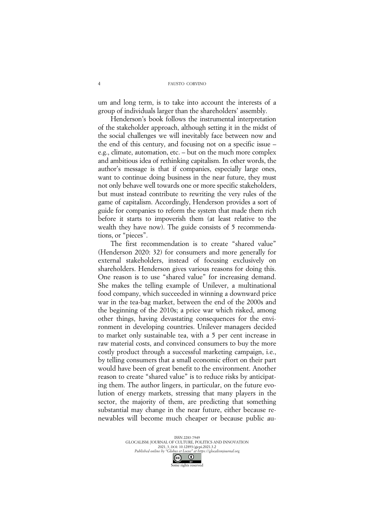FAUSTO CORVINO

um and long term, is to take into account the interests of a group of individuals larger than the shareholders' assembly.

Henderson's book follows the instrumental interpretation of the stakeholder approach, although setting it in the midst of the social challenges we will inevitably face between now and the end of this century, and focusing not on a specific issue – e.g., climate, automation, etc. – but on the much more complex and ambitious idea of rethinking capitalism. In other words, the author's message is that if companies, especially large ones, want to continue doing business in the near future, they must not only behave well towards one or more specific stakeholders, but must instead contribute to rewriting the very rules of the game of capitalism. Accordingly, Henderson provides a sort of guide for companies to reform the system that made them rich before it starts to impoverish them (at least relative to the wealth they have now). The guide consists of 5 recommendations, or "pieces".

The first recommendation is to create "shared value" (Henderson 2020: 32) for consumers and more generally for external stakeholders, instead of focusing exclusively on shareholders. Henderson gives various reasons for doing this. One reason is to use "shared value" for increasing demand. She makes the telling example of Unilever, a multinational food company, which succeeded in winning a downward price war in the tea-bag market, between the end of the 2000s and the beginning of the 2010s; a price war which risked, among other things, having devastating consequences for the environment in developing countries. Unilever managers decided to market only sustainable tea, with a 5 per cent increase in raw material costs, and convinced consumers to buy the more costly product through a successful marketing campaign, i.e., by telling consumers that a small economic effort on their part would have been of great benefit to the environment. Another reason to create "shared value" is to reduce risks by anticipating them. The author lingers, in particular, on the future evolution of energy markets, stressing that many players in the sector, the majority of them, are predicting that something substantial may change in the near future, either because renewables will become much cheaper or because public au-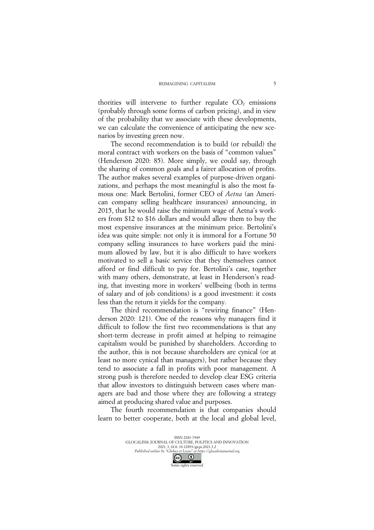thorities will intervene to further regulate  $CO<sub>2</sub>$  emissions (probably through some forms of carbon pricing), and in view of the probability that we associate with these developments, we can calculate the convenience of anticipating the new scenarios by investing green now.

The second recommendation is to build (or rebuild) the moral contract with workers on the basis of "common values" (Henderson 2020: 85). More simply, we could say, through the sharing of common goals and a fairer allocation of profits. The author makes several examples of purpose-driven organizations, and perhaps the most meaningful is also the most famous one: Mark Bertolini, former CEO of *Aetna* (an American company selling healthcare insurances) announcing, in 2015, that he would raise the minimum wage of Aetna's workers from \$12 to \$16 dollars and would allow them to buy the most expensive insurances at the minimum price. Bertolini's idea was quite simple: not only it is immoral for a Fortune 50 company selling insurances to have workers paid the minimum allowed by law, but it is also difficult to have workers motivated to sell a basic service that they themselves cannot afford or find difficult to pay for. Bertolini's case, together with many others, demonstrate, at least in Henderson's reading, that investing more in workers' wellbeing (both in terms of salary and of job conditions) is a good investment: it costs less than the return it yields for the company.

The third recommendation is "rewiring finance" (Henderson 2020: 121). One of the reasons why managers find it difficult to follow the first two recommendations is that any short-term decrease in profit aimed at helping to reimagine capitalism would be punished by shareholders. According to the author, this is not because shareholders are cynical (or at least no more cynical than managers), but rather because they tend to associate a fall in profits with poor management. A strong push is therefore needed to develop clear ESG criteria that allow investors to distinguish between cases where managers are bad and those where they are following a strategy aimed at producing shared value and purposes.

The fourth recommendation is that companies should learn to better cooperate, both at the local and global level,